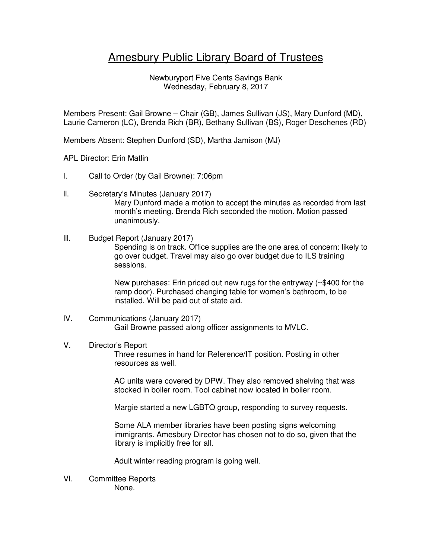## Amesbury Public Library Board of Trustees

Newburyport Five Cents Savings Bank Wednesday, February 8, 2017

Members Present: Gail Browne – Chair (GB), James Sullivan (JS), Mary Dunford (MD), Laurie Cameron (LC), Brenda Rich (BR), Bethany Sullivan (BS), Roger Deschenes (RD)

Members Absent: Stephen Dunford (SD), Martha Jamison (MJ)

APL Director: Erin Matlin

- l. Call to Order (by Gail Browne): 7:06pm
- ll. Secretary's Minutes (January 2017) Mary Dunford made a motion to accept the minutes as recorded from last month's meeting. Brenda Rich seconded the motion. Motion passed unanimously.

## lll. Budget Report (January 2017) Spending is on track. Office supplies are the one area of concern: likely to

go over budget. Travel may also go over budget due to ILS training sessions.

New purchases: Erin priced out new rugs for the entryway (~\$400 for the ramp door). Purchased changing table for women's bathroom, to be installed. Will be paid out of state aid.

## lV. Communications (January 2017) Gail Browne passed along officer assignments to MVLC.

## V. Director's Report

Three resumes in hand for Reference/IT position. Posting in other resources as well.

AC units were covered by DPW. They also removed shelving that was stocked in boiler room. Tool cabinet now located in boiler room.

Margie started a new LGBTQ group, responding to survey requests.

Some ALA member libraries have been posting signs welcoming immigrants. Amesbury Director has chosen not to do so, given that the library is implicitly free for all.

Adult winter reading program is going well.

Vl. Committee Reports None.